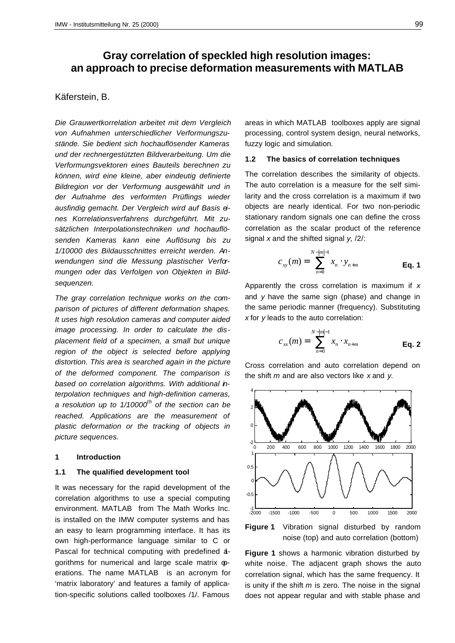# **Gray correlation of speckled high resolution images: an approach to precise deformation measurements with MATLAB**

# Käferstein, B.

*Die Grauwertkorrelation arbeitet mit dem Vergleich von Aufnahmen unterschiedlicher Verformungszustände. Sie bedient sich hochauflösender Kameras und der rechnergestützten Bildverarbeitung. Um die Verformungsvektoren eines Bauteils berechnen zu können, wird eine kleine, aber eindeutig definierte Bildregion vor der Verformung ausgewählt und in der Aufnahme des verformten Prüflings wieder ausfindig gemacht. Der Vergleich wird auf Basis eines Korrelationsverfahrens durchgeführt. Mit zusätzlichen Interpolationstechniken und hochauflösenden Kameras kann eine Auflösung bis zu 1/10000 des Bildausschnittes erreicht werden. Anwendungen sind die Messung plastischer Verformungen oder das Verfolgen von Objekten in Bildsequenzen.*

*The gray correlation technique works on the comparison of pictures of different deformation shapes. It uses high resolution cameras and computer aided image processing. In order to calculate the displacement field of a specimen, a small but unique region of the object is selected before applying distortion. This area is searched again in the picture of the deformed component. The comparison is based on correlation algorithms. With additional interpolation techniques and high-definition cameras, a resolution up to 1/10000th of the section can be reached. Applications are the measurement of plastic deformation or the tracking of objects in picture sequences.*

## **1 Introduction**

# **1.1 The qualified development tool**

It was necessary for the rapid development of the correlation algorithms to use a special computing environment. MATLAB from The Math Works Inc. is installed on the IMW computer systems and has an easy to learn programming interface. It has its own high-performance language similar to C or Pascal for technical computing with predefined agorithms for numerical and large scale matrix  $\varphi$ erations. The name MATLAB is an acronym for 'matrix laboratory' and features a family of application-specific solutions called toolboxes /1/. Famous

areas in which MATLAB toolboxes apply are signal processing, control system design, neural networks, fuzzy logic and simulation.

## **1.2 The basics of correlation techniques**

The correlation describes the similarity of objects. The auto correlation is a measure for the self similarity and the cross correlation is a maximum if two objects are nearly identical. For two non-periodic stationary random signals one can define the cross correlation as the scalar product of the reference signal *x* and the shifted signal *y*, /2/:

$$
c_{xy}(m) = \sum_{n=0}^{N-|m|-1} x_n \cdot y_{n+m}
$$
 Eq. 1

Apparently the cross correlation is maximum if *x* and *y* have the same sign (phase) and change in the same periodic manner (frequency). Substituting *x* for *y* leads to the auto correlation:

$$
c_{xx}(m) = \sum_{n=0}^{N-|m|-1} x_n \cdot x_{n+m}
$$
 Eq. 2

Cross correlation and auto correlation depend on the shift *m* and are also vectors like *x* and *y*.





**Figure 1** shows a harmonic vibration disturbed by white noise. The adjacent graph shows the auto correlation signal, which has the same frequency. It is unity if the shift *m* is zero. The noise in the signal does not appear regular and with stable phase and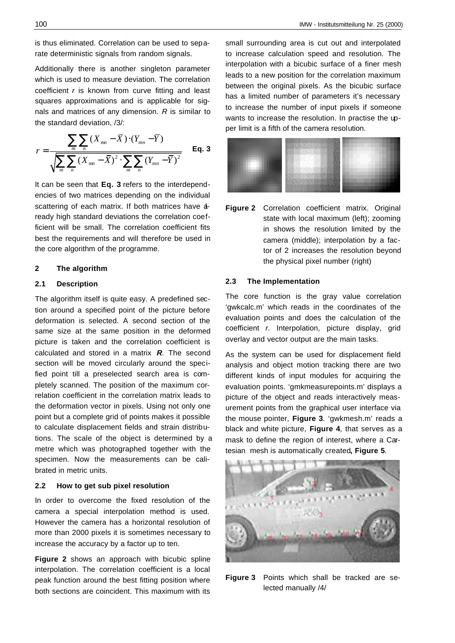is thus eliminated. Correlation can be used to separate deterministic signals from random signals.

Additionally there is another singleton parameter which is used to measure deviation. The correlation coefficient *r* is known from curve fitting and least squares approximations and is applicable for signals and matrices of any dimension. *R* is similar to the standard deviation, /3/:

$$
r = \frac{\sum_{m} \sum_{n} (X_{mn} - \overline{X}) \cdot (Y_{mn} - \overline{Y})}{\sqrt{\sum_{m} \sum_{n} (X_{mn} - \overline{X})^{2} \cdot \sum_{m} \sum_{n} (Y_{mn} - \overline{Y})^{2}} \qquad \text{Eq. 3}
$$

It can be seen that **Eq. 3** refers to the interdependencies of two matrices depending on the individual scattering of each matrix. If both matrices have aready high standard deviations the correlation coefficient will be small. The correlation coefficient fits best the requirements and will therefore be used in the core algorithm of the programme.

# **2 The algorithm**

## **2.1 Description**

The algorithm itself is quite easy. A predefined section around a specified point of the picture before deformation is selected. A second section of the same size at the same position in the deformed picture is taken and the correlation coefficient is calculated and stored in a matrix *R*. The second section will be moved circularly around the specified point till a preselected search area is completely scanned. The position of the maximum correlation coefficient in the correlation matrix leads to the deformation vector in pixels. Using not only one point but a complete grid of points makes it possible to calculate displacement fields and strain distributions. The scale of the object is determined by a metre which was photographed together with the specimen. Now the measurements can be calibrated in metric units.

#### **2.2 How to get sub pixel resolution**

In order to overcome the fixed resolution of the camera a special interpolation method is used. However the camera has a horizontal resolution of more than 2000 pixels it is sometimes necessary to increase the accuracy by a factor up to ten.

**Figure 2** shows an approach with bicubic spline interpolation. The correlation coefficient is a local peak function around the best fitting position where both sections are coincident. This maximum with its small surrounding area is cut out and interpolated to increase calculation speed and resolution. The interpolation with a bicubic surface of a finer mesh leads to a new position for the correlation maximum between the original pixels. As the bicubic surface has a limited number of parameters it's necessary to increase the number of input pixels if someone wants to increase the resolution. In practise the upper limit is a fifth of the camera resolution.



**Figure 2** Correlation coefficient matrix. Original state with local maximum (left); zooming in shows the resolution limited by the camera (middle); interpolation by a factor of 2 increases the resolution beyond the physical pixel number (right)

#### **2.3 The Implementation**

The core function is the gray value correlation 'gwkcalc.m' which reads in the coordinates of the evaluation points and does the calculation of the coefficient *r*. Interpolation, picture display, grid overlay and vector output are the main tasks.

As the system can be used for displacement field analysis and object motion tracking there are two different kinds of input modules for acquiring the evaluation points. 'gmkmeasurepoints.m' displays a picture of the object and reads interactively measurement points from the graphical user interface via the mouse pointer, **Figure 3**. 'gwkmesh.m' reads a black and white picture, **Figure 4**, that serves as a mask to define the region of interest, where a Cartesian mesh is automatically created**, Figure 5**.



**Figure 3** Points which shall be tracked are selected manually /4/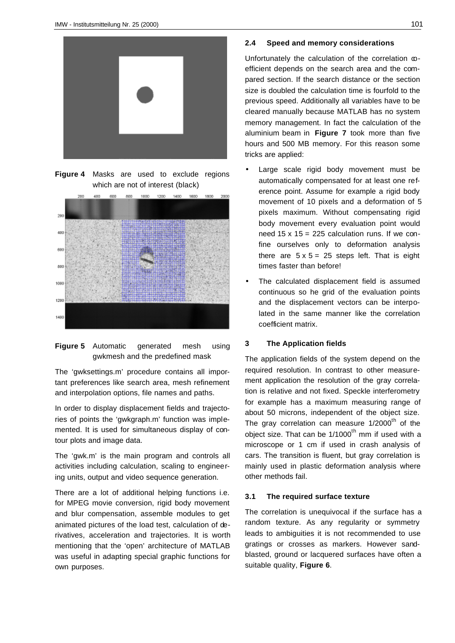

**Figure 4** Masks are used to exclude regions which are not of interest (black)





The 'gwksettings.m' procedure contains all important preferences like search area, mesh refinement and interpolation options, file names and paths.

In order to display displacement fields and trajectories of points the 'gwkgraph.m' function was implemented. It is used for simultaneous display of contour plots and image data.

The 'gwk.m' is the main program and controls all activities including calculation, scaling to engineering units, output and video sequence generation.

There are a lot of additional helping functions i.e. for MPEG movie conversion, rigid body movement and blur compensation, assemble modules to get animated pictures of the load test, calculation of derivatives, acceleration and trajectories. It is worth mentioning that the 'open' architecture of MATLAB was useful in adapting special graphic functions for own purposes.

#### **2.4 Speed and memory considerations**

Unfortunately the calculation of the correlation  $\infty$ efficient depends on the search area and the compared section. If the search distance or the section size is doubled the calculation time is fourfold to the previous speed. Additionally all variables have to be cleared manually because MATLAB has no system memory management. In fact the calculation of the aluminium beam in **Figure 7** took more than five hours and 500 MB memory. For this reason some tricks are applied:

- Large scale rigid body movement must be automatically compensated for at least one reference point. Assume for example a rigid body movement of 10 pixels and a deformation of 5 pixels maximum. Without compensating rigid body movement every evaluation point would need  $15 \times 15 = 225$  calculation runs. If we confine ourselves only to deformation analysis there are  $5 \times 5 = 25$  steps left. That is eight times faster than before!
- The calculated displacement field is assumed continuous so he grid of the evaluation points and the displacement vectors can be interpolated in the same manner like the correlation coefficient matrix.

#### **3 The Application fields**

The application fields of the system depend on the required resolution. In contrast to other measurement application the resolution of the gray correlation is relative and not fixed. Speckle interferometry for example has a maximum measuring range of about 50 microns, independent of the object size. The gray correlation can measure  $1/2000$ <sup>th</sup> of the object size. That can be  $1/1000$ <sup>th</sup> mm if used with a microscope or 1 cm if used in crash analysis of cars. The transition is fluent, but gray correlation is mainly used in plastic deformation analysis where other methods fail.

## **3.1 The required surface texture**

The correlation is unequivocal if the surface has a random texture. As any regularity or symmetry leads to ambiguities it is not recommended to use gratings or crosses as markers. However sandblasted, ground or lacquered surfaces have often a suitable quality, **Figure 6**.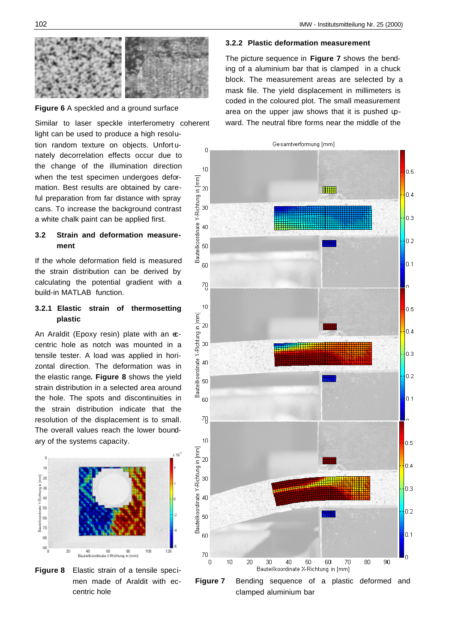

#### **Figure 6** A speckled and a ground surface

Similar to laser speckle interferometry coherent

light can be used to produce a high resolution random texture on objects. Unfort unately decorrelation effects occur due to the change of the illumination direction when the test specimen undergoes deformation. Best results are obtained by careful preparation from far distance with spray cans. To increase the background contrast a white chalk paint can be applied first.

## **3.2 Strain and deformation measurement**

If the whole deformation field is measured the strain distribution can be derived by calculating the potential gradient with a build-in MATLAB function.

# **3.2.1 Elastic strain of thermosetting plastic**

An Araldit (Epoxy resin) plate with an  $\infty$ centric hole as notch was mounted in a tensile tester. A load was applied in horizontal direction. The deformation was in the elastic range**. Figure 8** shows the yield strain distribution in a selected area around the hole. The spots and discontinuities in the strain distribution indicate that the resolution of the displacement is to small. The overall values reach the lower boundary of the systems capacity.



**Figure 8** Elastic strain of a tensile specimen made of Araldit with eccentric hole

#### **3.2.2 Plastic deformation measurement**

The picture sequence in **Figure 7** shows the bending of a aluminium bar that is clamped in a chuck block. The measurement areas are selected by a mask file. The yield displacement in millimeters is coded in the coloured plot. The small measurement area on the upper jaw shows that it is pushed upward. The neutral fibre forms near the middle of the



clamped aluminium bar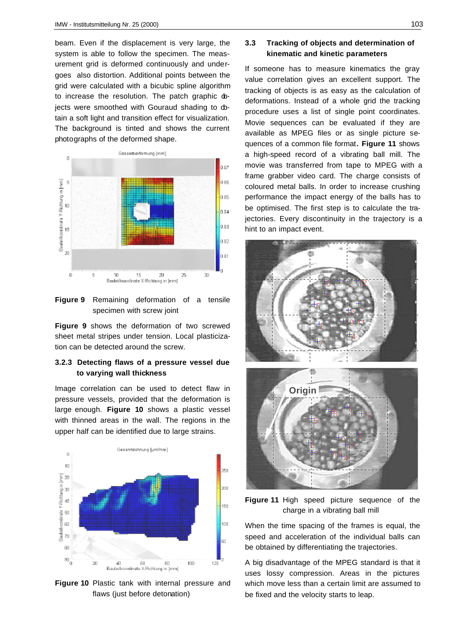beam. Even if the displacement is very large, the system is able to follow the specimen. The measurement grid is deformed continuously and undergoes also distortion. Additional points between the grid were calculated with a bicubic spline algorithm to increase the resolution. The patch graphic dojects were smoothed with Gouraud shading to dotain a soft light and transition effect for visualization. The background is tinted and shows the current photographs of the deformed shape.



**Figure 9** Remaining deformation of a tensile specimen with screw joint

**Figure 9** shows the deformation of two screwed sheet metal stripes under tension. Local plasticization can be detected around the screw.

# **3.2.3 Detecting flaws of a pressure vessel due to varying wall thickness**

Image correlation can be used to detect flaw in pressure vessels, provided that the deformation is large enough. **Figure 10** shows a plastic vessel with thinned areas in the wall. The regions in the upper half can be identified due to large strains.



**Figure 10** Plastic tank with internal pressure and flaws (just before detonation)

# **3.3 Tracking of objects and determination of kinematic and kinetic parameters**

If someone has to measure kinematics the gray value correlation gives an excellent support. The tracking of objects is as easy as the calculation of deformations. Instead of a whole grid the tracking procedure uses a list of single point coordinates. Movie sequences can be evaluated if they are available as MPEG files or as single picture sequences of a common file format**. Figure 11** shows a high-speed record of a vibrating ball mill. The movie was transferred from tape to MPEG with a frame grabber video card. The charge consists of coloured metal balls. In order to increase crushing performance the impact energy of the balls has to be optimised. The first step is to calculate the trajectories. Every discontinuity in the trajectory is a hint to an impact event.



**Figure 11** High speed picture sequence of the charge in a vibrating ball mill

When the time spacing of the frames is equal, the speed and acceleration of the individual balls can be obtained by differentiating the trajectories.

A big disadvantage of the MPEG standard is that it uses lossy compression. Areas in the pictures which move less than a certain limit are assumed to be fixed and the velocity starts to leap.